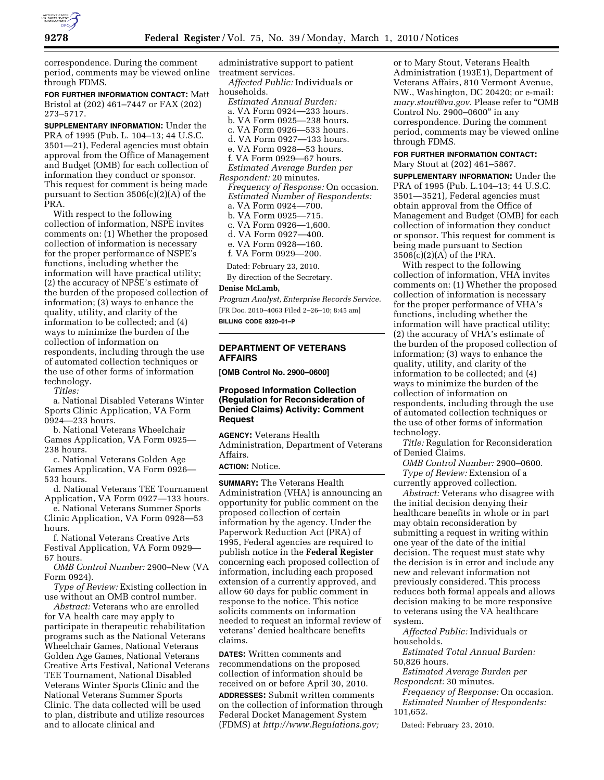

correspondence. During the comment period, comments may be viewed online through FDMS.

**FOR FURTHER INFORMATION CONTACT:** Matt Bristol at (202) 461–7447 or FAX (202) 273–5717.

**SUPPLEMENTARY INFORMATION:** Under the PRA of 1995 (Pub. L. 104–13; 44 U.S.C. 3501—21), Federal agencies must obtain approval from the Office of Management and Budget (OMB) for each collection of information they conduct or sponsor. This request for comment is being made pursuant to Section 3506(c)(2)(A) of the PRA.

With respect to the following collection of information, NSPE invites comments on: (1) Whether the proposed collection of information is necessary for the proper performance of NSPE's functions, including whether the information will have practical utility; (2) the accuracy of NPSE's estimate of the burden of the proposed collection of information; (3) ways to enhance the quality, utility, and clarity of the information to be collected; and (4) ways to minimize the burden of the collection of information on respondents, including through the use of automated collection techniques or the use of other forms of information technology.

*Titles:* 

a. National Disabled Veterans Winter Sports Clinic Application, VA Form 0924—233 hours.

b. National Veterans Wheelchair Games Application, VA Form 0925— 238 hours.

c. National Veterans Golden Age Games Application, VA Form 0926— 533 hours.

d. National Veterans TEE Tournament Application, VA Form 0927—133 hours.

e. National Veterans Summer Sports Clinic Application, VA Form 0928—53 hours.

f. National Veterans Creative Arts Festival Application, VA Form 0929— 67 hours.

*OMB Control Number:* 2900–New (VA Form 0924).

*Type of Review:* Existing collection in use without an OMB control number.

*Abstract:* Veterans who are enrolled for VA health care may apply to participate in therapeutic rehabilitation programs such as the National Veterans Wheelchair Games, National Veterans Golden Age Games, National Veterans Creative Arts Festival, National Veterans TEE Tournament, National Disabled Veterans Winter Sports Clinic and the National Veterans Summer Sports Clinic. The data collected will be used to plan, distribute and utilize resources and to allocate clinical and

administrative support to patient treatment services.

*Affected Public:* Individuals or households.

*Estimated Annual Burden:*  a. VA Form 0924—233 hours. b. VA Form 0925—238 hours. c. VA Form 0926—533 hours. d. VA Form 0927—133 hours. e. VA Form 0928—53 hours. f. VA Form 0929—67 hours. *Estimated Average Burden per Respondent:* 20 minutes. *Frequency of Response:* On occasion. *Estimated Number of Respondents:*  a. VA Form 0924—700. b. VA Form 0925—715. c. VA Form 0926—1,600.

d. VA Form 0927—400.

e. VA Form 0928—160.

f. VA Form 0929—200.

Dated: February 23, 2010.

By direction of the Secretary.

### **Denise McLamb,**

*Program Analyst, Enterprise Records Service.*  [FR Doc. 2010–4063 Filed 2–26–10; 8:45 am]

**BILLING CODE 8320–01–P** 

# **DEPARTMENT OF VETERANS AFFAIRS**

**[OMB Control No. 2900–0600]** 

## **Proposed Information Collection (Regulation for Reconsideration of Denied Claims) Activity: Comment Request**

**AGENCY:** Veterans Health Administration, Department of Veterans Affairs.

# **ACTION:** Notice.

**SUMMARY:** The Veterans Health Administration (VHA) is announcing an opportunity for public comment on the proposed collection of certain information by the agency. Under the Paperwork Reduction Act (PRA) of 1995, Federal agencies are required to publish notice in the **Federal Register**  concerning each proposed collection of information, including each proposed extension of a currently approved, and allow 60 days for public comment in response to the notice. This notice solicits comments on information needed to request an informal review of veterans' denied healthcare benefits claims.

**DATES:** Written comments and recommendations on the proposed collection of information should be received on or before April 30, 2010. **ADDRESSES:** Submit written comments on the collection of information through Federal Docket Management System (FDMS) at *http://www.Regulations.gov;* 

or to Mary Stout, Veterans Health Administration (193E1), Department of Veterans Affairs, 810 Vermont Avenue, NW., Washington, DC 20420; or e-mail: *mary.stout@va.gov*. Please refer to ''OMB Control No. 2900–0600'' in any correspondence. During the comment period, comments may be viewed online through FDMS.

### **FOR FURTHER INFORMATION CONTACT:**  Mary Stout at (202) 461–5867.

**SUPPLEMENTARY INFORMATION:** Under the PRA of 1995 (Pub. L.104–13; 44 U.S.C. 3501—3521), Federal agencies must obtain approval from the Office of Management and Budget (OMB) for each collection of information they conduct or sponsor. This request for comment is being made pursuant to Section 3506(c)(2)(A) of the PRA.

With respect to the following collection of information, VHA invites comments on: (1) Whether the proposed collection of information is necessary for the proper performance of VHA's functions, including whether the information will have practical utility; (2) the accuracy of VHA's estimate of the burden of the proposed collection of information; (3) ways to enhance the quality, utility, and clarity of the information to be collected; and (4) ways to minimize the burden of the collection of information on respondents, including through the use of automated collection techniques or the use of other forms of information technology.

*Title:* Regulation for Reconsideration of Denied Claims.

*OMB Control Number:* 2900–0600. *Type of Review:* Extension of a currently approved collection.

*Abstract:* Veterans who disagree with the initial decision denying their healthcare benefits in whole or in part may obtain reconsideration by submitting a request in writing within one year of the date of the initial decision. The request must state why the decision is in error and include any new and relevant information not previously considered. This process reduces both formal appeals and allows decision making to be more responsive to veterans using the VA healthcare system.

*Affected Public:* Individuals or households.

*Estimated Total Annual Burden:*  50,826 hours.

*Estimated Average Burden per Respondent:* 30 minutes.

*Frequency of Response:* On occasion. *Estimated Number of Respondents:*  101,652.

Dated: February 23, 2010.